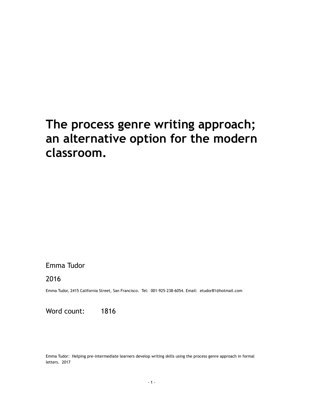# **The process genre writing approach; an alternative option for the modern classroom.**

## Emma Tudor

2016

Emma Tudor, 2415 California Street, San Francisco. Tel: 001-925-238-6054. Email: etudor81@hotmail.com

Word count: 1816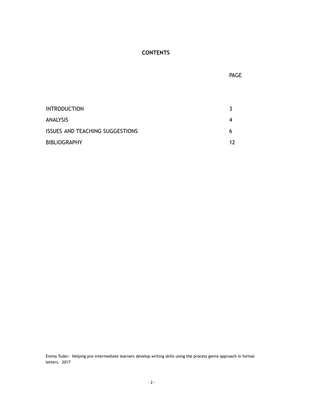## **CONTENTS**

INTRODUCTION 3 ANALYSIS 4 ISSUES AND TEACHING SUGGESTIONS 6 BIBLIOGRAPHY 12

Emma Tudor: Helping pre-intermediate learners develop writing skills using the process genre approach in formal letters. 2017

- 2 -

**PAGE** the contract of the contract of the contract of the contract of the contract of the contract of the contract of the contract of the contract of the contract of the contract of the contract of the contract of the con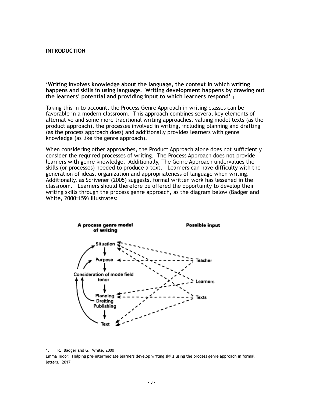## **INTRODUCTION**

**'Writing involves knowledge about the language, the context in which writing happens and skills in using language. Writing development happens by drawing out the learners' potential and providing input to which learners respond' 1**

Taking this in to account, the Process Genre Approach in writing classes can be favorable in a modern classroom. This approach combines several key elements of alternative and some more traditional writing approaches, valuing model texts (as the product approach), the processes involved in writing, including planning and drafting (as the process approach does) and additionally provides learners with genre knowledge (as like the genre approach).

When considering other approaches, the Product Approach alone does not sufficiently consider the required processes of writing. The Process Approach does not provide learners with genre knowledge. Additionally, The Genre Approach undervalues the skills (or processes) needed to produce a text. Learners can have difficulty with the generation of ideas, organization and appropriateness of language when writing. Additionally, as Scrivener (2005) suggests, formal written work has lessened in the classroom. Learners should therefore be offered the opportunity to develop their writing skills through the process genre approach, as the diagram below (Badger and White, 2000:159) illustrates:



1. R. Badger and G. White, 2000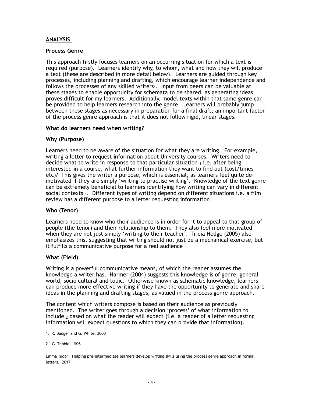## **ANALYSIS**

### **Process Genre**

This approach firstly focuses learners on an occurring situation for which a text is required (purpose). Learners identify why, to whom, what and how they will produce a text (these are described in more detail below). Learners are guided through key processes, including planning and drafting, which encourage learner independence and follows the processes of any skilled writers $_1$ . Input from peers can be valuable at these stages to enable opportunity for schemata to be shared, as generating ideas proves difficult for my learners. Additionally, model texts within that same genre can be provided to help learners research into the genre. Learners will probably jump between these stages as necessary in preparation for a final draft; an important factor of the process genre approach is that it does not follow rigid, linear stages.

### **What do learners need when writing?**

### **Why (Purpose)**

**L**earners need to be aware of the situation for what they are writing. For example, writing a letter to request information about University courses. Writers need to decide what to write in response to that particular situation  $_1$  i.e. after being interested in a course, what further information they want to find out (cost/times etc)? This gives the writer a purpose, which is essential, as learners feel quite demotivated if they are simply 'writing to practise writing'. Knowledge of the text genre can be extremely beneficial to learners identifying how writing can vary in different social contexts 1. Different types of writing depend on different situations i.e. a film review has a different purpose to a letter requesting information

## **Who (Tenor)**

**L**earners need to know who their audience is in order for it to appeal to that group of people (the tenor) and their relationship to them. They also feel more motivated when they are not just simply 'writing to their teacher'. Tricia Hedge (2005) also emphasizes this, suggesting that writing should not just be a mechanical exercise, but it fulfills a communicative purpose for a real audience

#### **What (Field)**

Writing is a powerful communicative means, of which the reader assumes the knowledge a writer has. Harmer (2004) suggests this knowledge is of genre, general world, socio cultural and topic. Otherwise known as schematic knowledge, learners can produce more effective writing if they have the opportunity to generate and share ideas in the planning and drafting stages, as valued in the process genre approach.

The content which writers compose is based on their audience as previously mentioned. The writer goes through a decision 'process' of what information to include  $2$  based on what the reader will expect (i.e. a reader of a letter requesting information will expect questions to which they can provide that information).

- 1. R. Badger and G. White, 2000
- 2. C. Tribble, 1996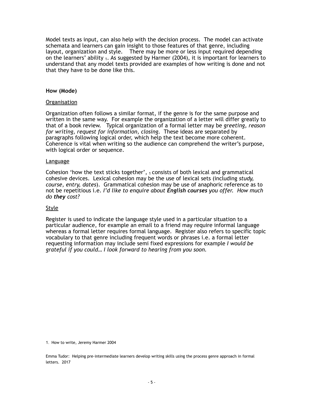Model texts as input, can also help with the decision process. The model can activate schemata and learners can gain insight to those features of that genre, including layout, organization and style. There may be more or less input required depending on the learners' ability  $_1$ . As suggested by Harmer (2004), it is important for learners to understand that any model texts provided are examples of how writing is done and not that they have to be done like this.

## **How (Mode)**

### Organisation

Organization often follows a similar format, if the genre is for the same purpose and written in the same way. For example the organization of a letter will differ greatly to that of a book review. Typical organization of a formal letter may be *greeting, reason for writing, request for information, closing.* These ideas are separated by paragraphs following logical order, which help the text become more coherent. Coherence is vital when writing so the audience can comprehend the writer's purpose, with logical order or sequence.

#### Language

Cohesion 'how the text sticks together',  $_1$  consists of both lexical and grammatical cohesive devices. Lexical cohesion may be the use of lexical sets (including *study, course, entry, dates*). Grammatical cohesion may be use of anaphoric reference as to not be repetitious i.e. *I'd like to enquire about English courses you offer. How much do they cost?* 

## **Style**

Register is used to indicate the language style used in a particular situation to a particular audience, for example an email to a friend may require informal language whereas a formal letter requires formal language. Register also refers to specific topic vocabulary to that genre including frequent words or phrases i.e. a formal letter requesting information may include semi fixed expressions for example *I would be grateful if you could… I look forward to hearing from you soon.*

1. How to write, Jeremy Harmer 2004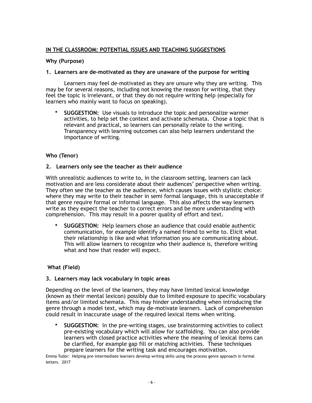## **IN THE CLASSROOM: POTENTIAL ISSUES AND TEACHING SUGGESTIONS**

## **Why (Purpose)**

## **1. Learners are de-motivated as they are unaware of the purpose for writing**

Learners may feel de-motivated as they are unsure why they are writing. This may be for several reasons, including not knowing the reason for writing, that they feel the topic is irrelevant, or that they do not require writing help (especially for learners who mainly want to focus on speaking).

• **SUGGESTION:** Use visuals to introduce the topic and personalize warmer activities, to help set the context and activate schemata. Chose a topic that is relevant and practical, so learners can personally relate to the writing. Transparency with learning outcomes can also help learners understand the importance of writing.

## **Who (Tenor)**

### **2. Learners only see the teacher as their audience**

With unrealistic audiences to write to, in the classroom setting, learners can lack motivation and are less considerate about their audiences' perspective when writing. They often see the teacher as the audience, which causes issues with stylistic choice: where they may write to their teacher in semi formal language, this is unacceptable if that genre require formal or informal language. This also affects the way learners write as they expect the teacher to correct errors and be more understanding with comprehension. This may result in a poorer quality of effort and text.

• **SUGGESTION:** Help learners **c**hose an audience that could enable authentic communication, for example identify a named friend to write to. Elicit what their relationship is like and what information you are communicating about. This will allow learners to recognize who their audience is, therefore writing what and how that reader will expect.

## **What (Field)**

## **3. Learners may lack vocabulary in topic areas**

Depending on the level of the learners, they may have limited lexical knowledge (known as their mental lexicon) possibly due to limited exposure to specific vocabulary items and/or limited schemata. This may hinder understanding when introducing the genre through a model text, which may de-motivate learners. Lack of comprehension could result in inaccurate usage of the required lexical items when writing.

• **SUGGESTION:** In the pre-writing stages, use brainstorming activities to collect pre-existing vocabulary which will allow for scaffolding. You can also provide learners with closed practice activities where the meaning of lexical items can be clarified, for example gap fill or matching activities. These techniques prepare learners for the writing task and encourages motivation.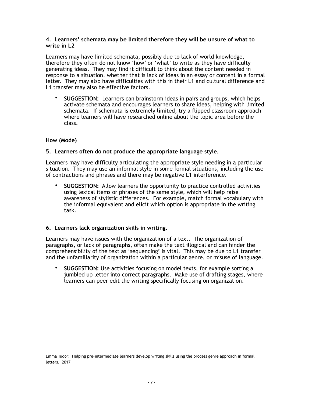## **4. Learners' schemata may be limited therefore they will be unsure of what to write in L2**

Learners may have limited schemata, possibly due to lack of world knowledge, therefore they often do not know 'how' or 'what' to write as they have difficulty generating ideas. They may find it difficult to think about the content needed in response to a situation, whether that is lack of ideas in an essay or content in a formal letter. They may also have difficulties with this in their L1 and cultural difference and L1 transfer may also be effective factors.

• **SUGGESTION:** Learners can brainstorm ideas in pairs and groups, which helps activate schemata and encourages learners to share ideas, helping with limited schemata. If schemata is extremely limited, try a flipped classroom approach where learners will have researched online about the topic area before the class.

## **How (Mode)**

## **5. Learners often do not produce the appropriate language style.**

**L**earners may have difficulty articulating the appropriate style needing in a particular situation. They may use an informal style in some formal situations, including the use of contractions and phrases and there may be negative L1 interference.

• **SUGGESTION:** Allow learners the opportunity to practice controlled activities using lexical items or phrases of the same style, which will help raise awareness of stylistic differences. For example, match formal vocabulary with the informal equivalent and elicit which option is appropriate in the writing task.

## **6. Learners lack organization skills in writing.**

**L**earners may have issues with the organization of a text. The organization of paragraphs, or lack of paragraphs, often make the text illogical and can hinder the comprehensibility of the text as 'sequencing' is vital. This may be due to L1 transfer and the unfamiliarity of organization within a particular genre, or misuse of language.

• **SUGGESTION:** Use activities focusing on model texts, for example sorting a jumbled up letter into correct paragraphs. Make use of drafting stages, where learners can peer edit the writing specifically focusing on organization.